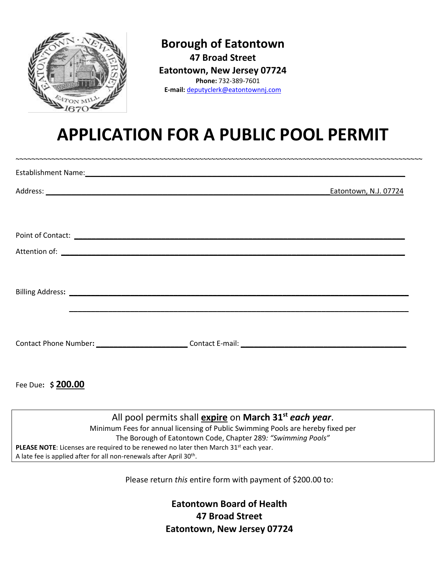

**Borough of Eatontown 47 Broad Street Eatontown, New Jersey 07724 Phone:** 732-389-7601 **E-mail:** [deputyclerk@eatontownnj.com](mailto:deputyclerk@eatontownnj.com)

# **APPLICATION FOR A PUBLIC POOL PERMIT**

|                                                                                                                                                                                                                                | Eatontown, N.J. 07724                                              |
|--------------------------------------------------------------------------------------------------------------------------------------------------------------------------------------------------------------------------------|--------------------------------------------------------------------|
|                                                                                                                                                                                                                                |                                                                    |
| Point of Contact: <u>December 2008</u>                                                                                                                                                                                         |                                                                    |
|                                                                                                                                                                                                                                |                                                                    |
|                                                                                                                                                                                                                                |                                                                    |
| Billing Address: Law Management and Communication of the Communication of the Communication of the Communication of the Communication of the Communication of the Communication of the Communication of the Communication of t |                                                                    |
|                                                                                                                                                                                                                                |                                                                    |
|                                                                                                                                                                                                                                |                                                                    |
|                                                                                                                                                                                                                                |                                                                    |
| Fee Due: \$ 200.00                                                                                                                                                                                                             |                                                                    |
|                                                                                                                                                                                                                                |                                                                    |
|                                                                                                                                                                                                                                | All pool permits shall expire on March 31 <sup>st</sup> each year. |

All pool permits shall **expire** on **March 31st** *each year*. Minimum Fees for annual licensing of Public Swimming Pools are hereby fixed per The Borough of Eatontown Code, Chapter 289*: "Swimming Pools"* PLEASE NOTE: Licenses are required to be renewed no later then March 31<sup>st</sup> each year. A late fee is applied after for all non-renewals after April 30<sup>th</sup>.

Please return *this* entire form with payment of \$200.00 to:

**Eatontown Board of Health 47 Broad Street Eatontown, New Jersey 07724**